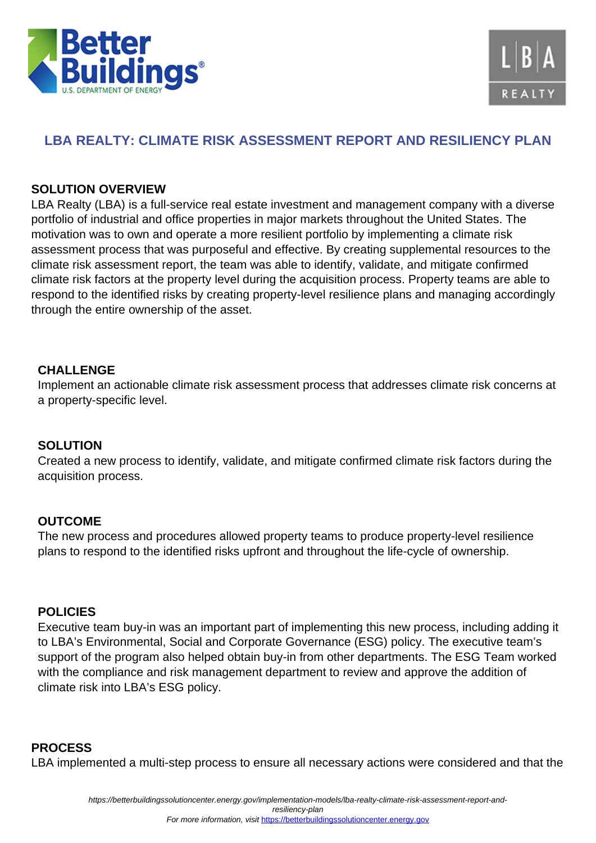



# **LBA REALTY: CLIMATE RISK ASSESSMENT REPORT AND RESILIENCY PLAN**

### **SOLUTION OVERVIEW**

LBA Realty (LBA) is a full-service real estate investment and management company with a diverse portfolio of industrial and office properties in major markets throughout the United States. The motivation was to own and operate a more resilient portfolio by implementing a climate risk assessment process that was purposeful and effective. By creating supplemental resources to the climate risk assessment report, the team was able to identify, validate, and mitigate confirmed climate risk factors at the property level during the acquisition process. Property teams are able to respond to the identified risks by creating property-level resilience plans and managing accordingly through the entire ownership of the asset.

#### **CHALLENGE**

Implement an actionable climate risk assessment process that addresses climate risk concerns at a property-specific level.

## **SOLUTION**

Created a new process to identify, validate, and mitigate confirmed climate risk factors during the acquisition process.

## **OUTCOME**

The new process and procedures allowed property teams to produce property-level resilience plans to respond to the identified risks upfront and throughout the life-cycle of ownership.

#### **POLICIES**

Executive team buy-in was an important part of implementing this new process, including adding it to LBA's Environmental, Social and Corporate Governance (ESG) policy. The executive team's support of the program also helped obtain buy-in from other departments. The ESG Team worked with the compliance and risk management department to review and approve the addition of climate risk into LBA's ESG policy.

#### **PROCESS**

LBA implemented a multi-step process to ensure all necessary actions were considered and that the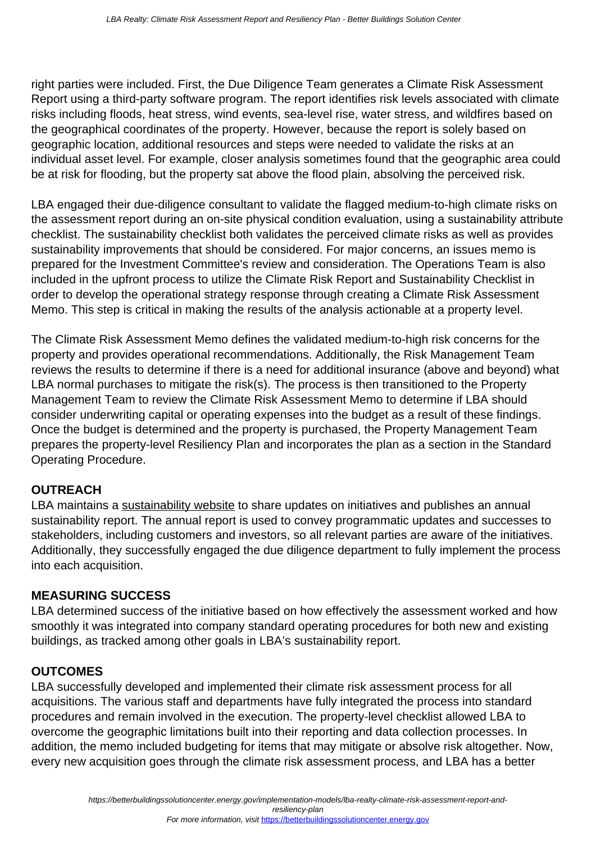right parties were included. First, the Due Diligence Team generates a Climate Risk Assessment Report using a third-party software program. The report identifies risk levels associated with climate risks including floods, heat stress, wind events, sea-level rise, water stress, and wildfires based on the geographical coordinates of the property. However, because the report is solely based on geographic location, additional resources and steps were needed to validate the risks at an individual asset level. For example, closer analysis sometimes found that the geographic area could be at risk for flooding, but the property sat above the flood plain, absolving the perceived risk.

LBA engaged their due-diligence consultant to validate the flagged medium-to-high climate risks on the assessment report during an on-site physical condition evaluation, using a sustainability attribute checklist. The sustainability checklist both validates the perceived climate risks as well as provides sustainability improvements that should be considered. For major concerns, an issues memo is prepared for the Investment Committee's review and consideration. The Operations Team is also included in the upfront process to utilize the Climate Risk Report and Sustainability Checklist in order to develop the operational strategy response through creating a Climate Risk Assessment Memo. This step is critical in making the results of the analysis actionable at a property level.

The Climate Risk Assessment Memo defines the validated medium-to-high risk concerns for the property and provides operational recommendations. Additionally, the Risk Management Team reviews the results to determine if there is a need for additional insurance (above and beyond) what LBA normal purchases to mitigate the risk(s). The process is then transitioned to the Property Management Team to review the Climate Risk Assessment Memo to determine if LBA should consider underwriting capital or operating expenses into the budget as a result of these findings. Once the budget is determined and the property is purchased, the Property Management Team prepares the property-level Resiliency Plan and incorporates the plan as a section in the Standard Operating Procedure.

## **OUTREACH**

LBA maintains a [sustainability website](https://www.lbarealty.com/sustainability) to share updates on initiatives and publishes an annual sustainability report. The annual report is used to convey programmatic updates and successes to stakeholders, including customers and investors, so all relevant parties are aware of the initiatives. Additionally, they successfully engaged the due diligence department to fully implement the process into each acquisition.

## **MEASURING SUCCESS**

LBA determined success of the initiative based on how effectively the assessment worked and how smoothly it was integrated into company standard operating procedures for both new and existing buildings, as tracked among other goals in LBA's sustainability report.

## **OUTCOMES**

LBA successfully developed and implemented their climate risk assessment process for all acquisitions. The various staff and departments have fully integrated the process into standard procedures and remain involved in the execution. The property-level checklist allowed LBA to overcome the geographic limitations built into their reporting and data collection processes. In addition, the memo included budgeting for items that may mitigate or absolve risk altogether. Now, every new acquisition goes through the climate risk assessment process, and LBA has a better

resiliency-plan